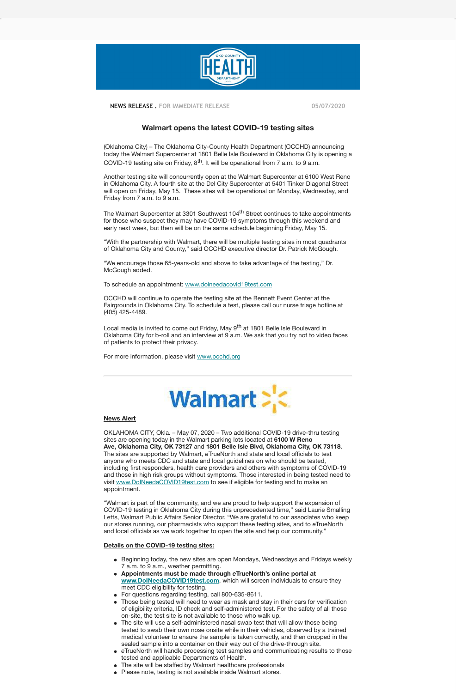

 **NEWS RELEASE . FOR IMMEDIATE RELEASE 05/07/2020**

(Oklahoma City) – The Oklahoma City-County Health Department (OCCHD) announcing today the Walmart Supercenter at 1801 Belle Isle Boulevard in Oklahoma City is opening a COVID-19 testing site on Friday, 8<sup>th</sup>. It will be operational from 7 a.m. to 9 a.m.

# **Walmart opens the latest COVID-19 testing sites**

The Walmart Supercenter at 3301 Southwest 104<sup>th</sup> Street continues to take appointments for those who suspect they may have COVID-19 symptoms through this weekend and early next week, but then will be on the same schedule beginning Friday, May 15.

Another testing site will concurrently open at the Walmart Supercenter at 6100 West Reno in Oklahoma City. A fourth site at the Del City Supercenter at 5401 Tinker Diagonal Street will open on Friday, May 15. These sites will be operational on Monday, Wednesday, and Friday from 7 a.m. to 9 a.m.

Local media is invited to come out Friday, May 9<sup>th</sup> at 1801 Belle Isle Boulevard in Oklahoma City for b-roll and an interview at 9 a.m. We ask that you try not to video faces of patients to protect their privacy.

"With the partnership with Walmart, there will be multiple testing sites in most quadrants of Oklahoma City and County," said OCCHD executive director Dr. Patrick McGough.

"We encourage those 65-years-old and above to take advantage of the testing," Dr. McGough added.

To schedule an appointment: [www.doineedacovid19test.com](http://www.doineedacovid19test.com/)

OCCHD will continue to operate the testing site at the Bennett Event Center at the Fairgrounds in Oklahoma City. To schedule a test, please call our nurse triage hotline at (405) 425-4489.

- Beginning today, the new sites are open Mondays, Wednesdays and Fridays weekly 7 a.m. to 9 a.m., weather permitting.
- **Appointments must be made through** *e***TrueNorth's online portal at www.DoINeedaCOVID19test.com**, which will screen individuals to ensure they meet CDC eligibility for testing.
- For questions regarding testing, call 800-635-8611.
- Those being tested will need to wear as mask and stay in their cars for verification of eligibility criteria, ID check and self-administered test. For the safety of all those on-site, the test site is not available to those who walk up.
- The site will use a self-administered nasal swab test that will allow those being  $\bullet$ tested to swab their own nose onsite while in their vehicles, observed by a trained medical volunteer to ensure the sample is taken correctly, and then dropped in the sealed sample into a container on their way out of the drive-through site.
- *e*TrueNorth will handle processing test samples and communicating results to those tested and applicable Departments of Health.
- The site will be staffed by Walmart healthcare professionals
- Please note, testing is not available inside Walmart stores.

For more information, please visit [www.occhd.org](http://www.occhd.org/) 



#### **News Alert**

OKLAHOMA CITY, Okla**.** – May 07, 2020 – Two additional COVID-19 drive-thru testing sites are opening today in the Walmart parking lots located at **6100 W Reno Ave, Oklahoma City, OK 73127** and **1801 Belle Isle Blvd, Oklahoma City, OK 73118**. The sites are supported by Walmart, *e*TrueNorth and state and local officials to test anyone who meets CDC and state and local guidelines on who should be tested, including first responders, health care providers and others with symptoms of COVID-19 and those in high risk groups without symptoms. Those interested in being tested need to visit [www.DoINeedaCOVID19test.com](http://www.doineedacovid19test.com/) to see if eligible for testing and to make an appointment.

"Walmart is part of the community, and we are proud to help support the expansion of COVID-19 testing in Oklahoma City during this unprecedented time," said Laurie Smalling Letts, Walmart Public Affairs Senior Director. "We are grateful to our associates who keep our stores running, our pharmacists who support these testing sites, and to *e*TrueNorth and local officials as we work together to open the site and help our community."

# **Details on the COVID-19 testing sites:**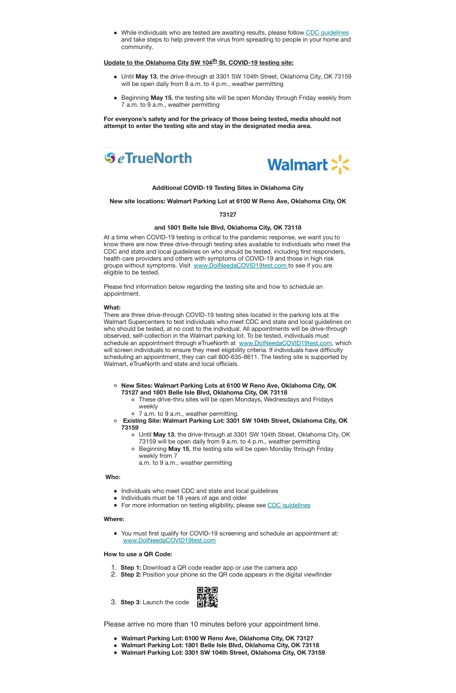• While individuals who are tested are awaiting results, please follow [CDC guidelines](https://www.cdc.gov/coronavirus/2019-ncov/if-you-are-sick/index.html) and take steps to help prevent the virus from spreading to people in your home and community.

### **Update to the Oklahoma City SW 104th St. COVID-19 testing site:**

- Until **May 13**, the drive-through at 3301 SW 104th Street, Oklahoma City, OK 73159 will be open daily from 9 a.m. to 4 p.m., weather permitting
- Beginning **May 15**, the testing site will be open Monday through Friday weekly from 7 a.m. to 9 a.m., weather permitting

**For everyone's safety and for the privacy of those being tested, media should not attempt to enter the testing site and stay in the designated media area.** 





**Additional COVID-19 Testing Sites in Oklahoma City**

**New site locations: Walmart Parking Lot at 6100 W Reno Ave, Oklahoma City, OK**

**73127**

#### **and 1801 Belle Isle Blvd, Oklahoma City, OK 73118**

At a time when COVID-19 testing is critical to the pandemic response, we want you to know there are now three drive-through testing sites available to individuals who meet the CDC and state and local guidelines on who should be tested, including first responders, health care providers and others with symptoms of COVID-19 and those in high risk groups without symptoms. Visit [www.DoINeedaCOVID19test.com t](http://www.doineedacovid19test.com/)o see if you are eligible to be tested.

Please find information below regarding the testing site and how to schedule an appointment.

#### **What:**

There are three drive-through COVID-19 testing sites located in the parking lots at the Walmart Supercenters to test individuals who meet CDC and state and local guidelines on who should be tested, at no cost to the individual. All appointments will be drive-through observed, self-collection in the Walmart parking lot. To be tested, individuals must schedule an appointment through *e*TrueNorth at [www.DoINeedaCOVID19test.com,](http://www.doineedacovid19test.com/) which will screen individuals to ensure they meet eligibility criteria. If individuals have difficulty scheduling an appointment, they can call 800-635-8611. The testing site is supported by Walmart, *e*TrueNorth and state and local officials.

**New Sites: Walmart Parking Lots at 6100 W Reno Ave, Oklahoma City, OK 73127 and 1801 Belle Isle Blvd, Oklahoma City, OK 73118** These drive-thru sites will be open Mondays, Wednesdays and Fridays weekly 7 a.m. to 9 a.m., weather permitting. **Existing Site: Walmart Parking Lot: 3301 SW 104th Street, Oklahoma City, OK 73159** Until **May 13**, the drive-through at 3301 SW 104th Street, Oklahoma City, OK 73159 will be open daily from 9 a.m. to 4 p.m., weather permitting Beginning **May 15**, the testing site will be open Monday through Friday weekly from 7

a.m. to 9 a.m., weather permitting

## **Who:**

- Individuals who meet CDC and state and local guidelines
- Individuals must be 18 years of age and older
- For more information on testing eligibility, please see CDC quidelines

### **Where:**

You must first qualify for COVID-19 screening and schedule an appointment at: [www.DoINeedaCOVID19test.com](http://www.doineedacovid19test.com/)

## **How to use a QR Code:**

- 1. **Step 1:** Download a QR code reader app or use the camera app
- 2. **Step 2:** Position your phone so the QR code appears in the digital viewfinder



3. **Step 3**: Launch the code

Please arrive no more than 10 minutes before your appointment time.

- **Walmart Parking Lot: 6100 W Reno Ave, Oklahoma City, OK 73127**
- **Walmart Parking Lot: 1801 Belle Isle Blvd, Oklahoma City, OK 73118**
- **Walmart Parking Lot: 3301 SW 104th Street, Oklahoma City, OK 73159**